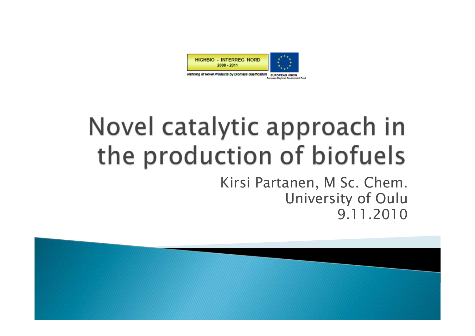

Refining of Novel Products by Biomass Gastfication EUROPEAN UNION

# Novel catalytic approach in the production of biofuels

Kirsi Partanen, M Sc. Chem. University of Oulu 9.11.2010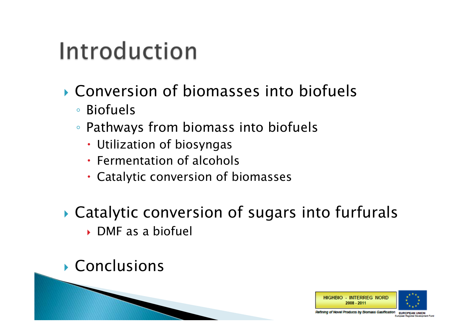## Introduction

- Conversion of biomasses into biofuels
	- Biofuels
	- Pathways from biomass into biofuels
		- Utilization of biosyngas
		- **Fermentation of alcohols**
		- Catalytic conversion of biomasses
- Catalytic conversion of sugars into furfurals DMF as a biofuel
- Conclusions

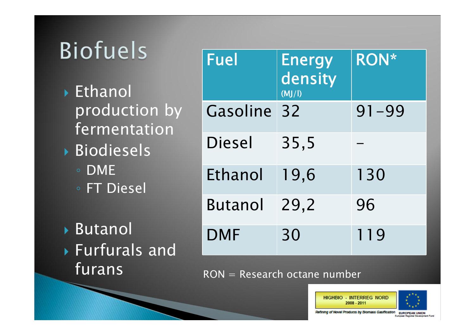## **Biofuels**

 Ethanol production by fermentation Biodiesels

- DME
- FT Diesel

 Butanol Furfurals and furans

| <b>Fuel</b> | <b>Energy</b><br>density<br>(MJ/I) | <b>RON*</b> |
|-------------|------------------------------------|-------------|
| Gasoline    | 32                                 | $91 - 99$   |
| Diesel      | 35,5                               |             |
| Ethanol     | 19,6                               | 130         |
| Butanol     | 29,2                               | 96          |
| <b>DMF</b>  | 30                                 | 119         |

RON = Research octane number



Refining of Novel Products by Biomass Gasification

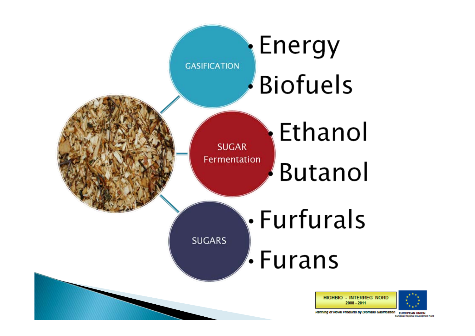

Refining of Novel Products by Biomass Gasification **EUROPEAN UNIO**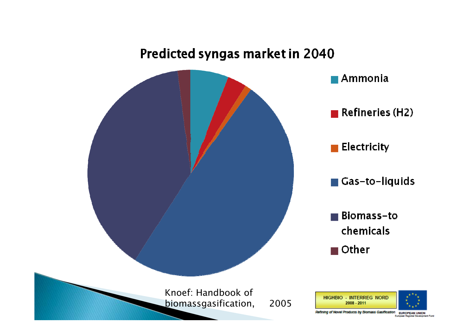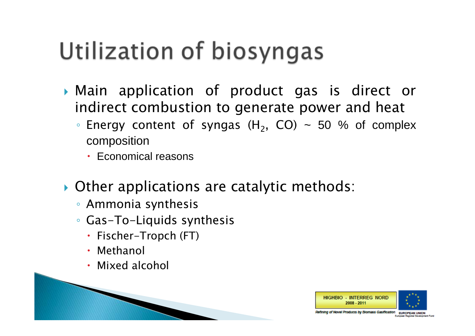## Utilization of biosyngas

- Main application of product gas is direct or indirect combustion to generate power and heat
	- $\bullet$  Energy content of syngas (H<sub>2</sub>, CO) ~ 50 % of complex composition
		- Economical reasons
- Other applications are catalytic methods:
	- Ammonia synthesis
	- Gas-To-Liquids synthesis
		- Fischer-Tropch (FT)
		- Methanol
		- Mixed alcohol

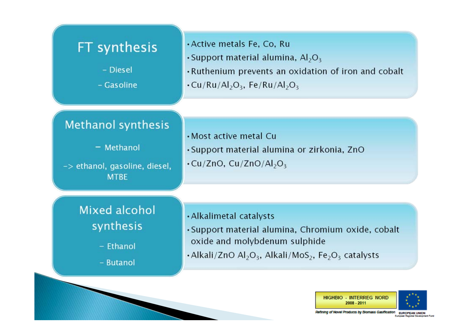

**HIGHBIO - INTERREG NORD** 

Refining of Novel Products by Biomass Gastiication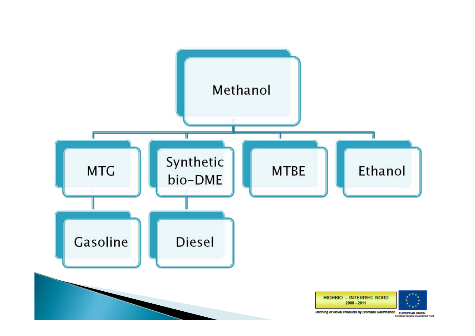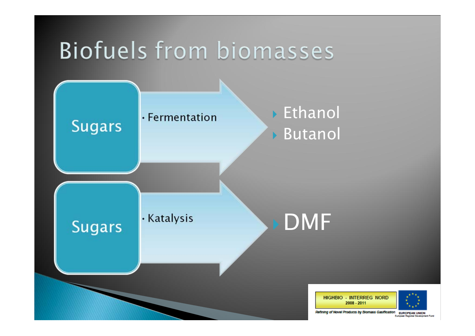### Biofuels from biomasses



Refining of Novel Products by Bromass Gastrication EUROPEAN UNION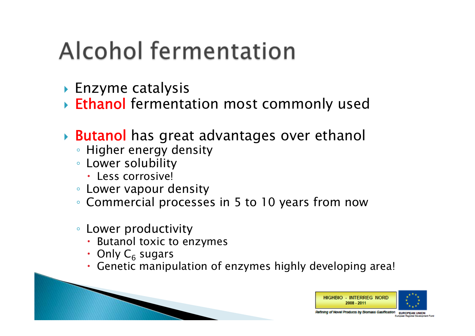## Alcohol fermentation

- $\blacktriangleright$  Enzyme catalysis
- **Ethanol** fermentation most commonly used
- ▶ **Butanol** has great advantages over ethanol
	- --◦ Higher energy density
	- Lower solubility
		- Less corrosive!
	- Lower vapour density
	- Commercial processes in 5 to 10 years from now
	- Lower productivity
		- Butanol toxic to enzymes
		- Only  $\mathsf{C}_6$  sugars
		- Genetic manipulation of enzymes highly developing area!



Products by Biomass Gastication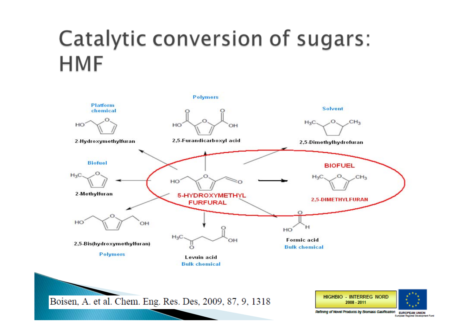#### Catalytic conversion of sugars: **HMF**



Boisen, A. et al. Chem. Eng. Res. Des, 2009, 87, 9, 1318



Refining of Novel Products by Biomass Gasification EUROPEAN UNION

European Regional Development Fund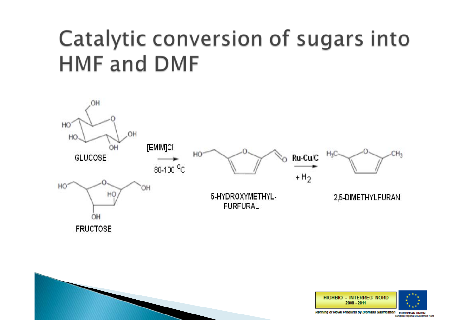#### Catalytic conversion of sugars into **HMF and DMF**



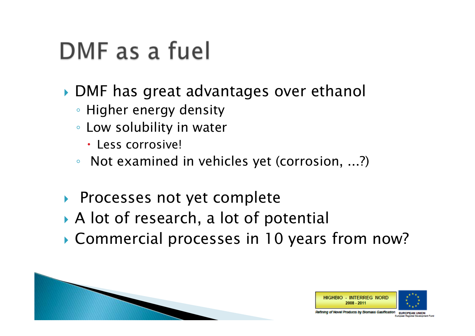### DMF as a fuel

- DMF has great advantages over ethanol
	- Higher energy density
	- Low solubility in water
		- Less corrosive!
	- Not examined in vehicles yet (corrosion, ...?)
- ▶ Processes not yet complete
- A lot of research, a lot of potential
- Commercial processes in 10 years from now?

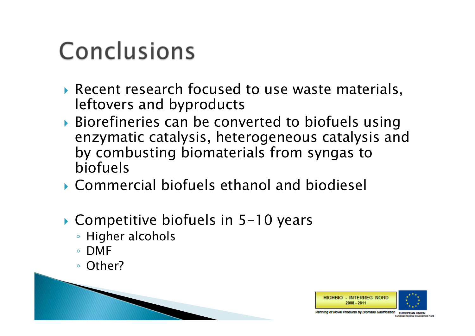## Conclusions

- Recent research focused to use waste materials, leftovers and byproducts
- Biorefineries can be converted to biofuels using enzymatic catalysis, heterogeneous catalysis and by combusting biomaterials from syngas to biofuels
- Commercial biofuels ethanol and biodiesel
- Competitive biofuels in 5-10 years
	- Higher alcohols
	- DMF
	- Other?